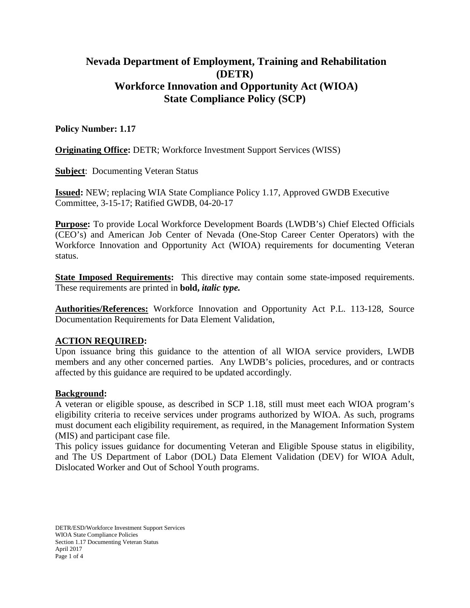# **Nevada Department of Employment, Training and Rehabilitation (DETR) Workforce Innovation and Opportunity Act (WIOA) State Compliance Policy (SCP)**

### **Policy Number: 1.17**

**Originating Office:** DETR; Workforce Investment Support Services (WISS)

**Subject**: Documenting Veteran Status

**Issued:** NEW; replacing WIA State Compliance Policy 1.17, Approved GWDB Executive Committee, 3-15-17; Ratified GWDB, 04-20-17

**Purpose:** To provide Local Workforce Development Boards (LWDB's) Chief Elected Officials (CEO's) and American Job Center of Nevada (One-Stop Career Center Operators) with the Workforce Innovation and Opportunity Act (WIOA) requirements for documenting Veteran status.

**State Imposed Requirements:** This directive may contain some state-imposed requirements. These requirements are printed in **bold,** *italic type.*

**Authorities/References:** Workforce Innovation and Opportunity Act P.L. 113-128, Source Documentation Requirements for Data Element Validation,

#### **ACTION REQUIRED:**

Upon issuance bring this guidance to the attention of all WIOA service providers, LWDB members and any other concerned parties. Any LWDB's policies, procedures, and or contracts affected by this guidance are required to be updated accordingly.

#### **Background:**

A veteran or eligible spouse, as described in SCP 1.18, still must meet each WIOA program's eligibility criteria to receive services under programs authorized by WIOA. As such, programs must document each eligibility requirement, as required, in the Management Information System (MIS) and participant case file.

This policy issues guidance for documenting Veteran and Eligible Spouse status in eligibility, and The US Department of Labor (DOL) Data Element Validation (DEV) for WIOA Adult, Dislocated Worker and Out of School Youth programs.

DETR/ESD/Workforce Investment Support Services WIOA State Compliance Policies Section 1.17 Documenting Veteran Status April 2017 Page 1 of 4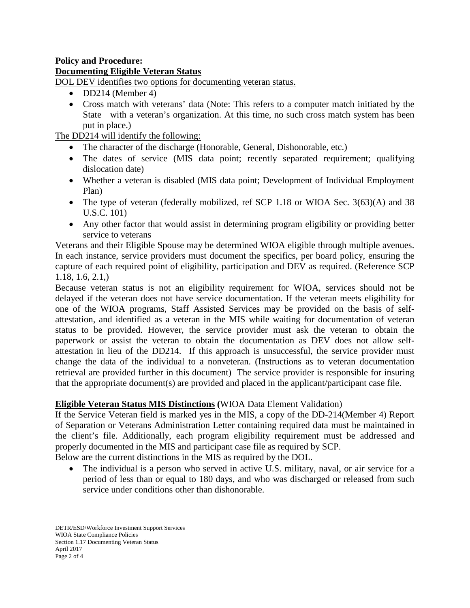### **Policy and Procedure: Documenting Eligible Veteran Status**

DOL DEV identifies two options for documenting veteran status.

- DD214 (Member 4)
- Cross match with veterans' data (Note: This refers to a computer match initiated by the State with a veteran's organization. At this time, no such cross match system has been put in place.)

The DD214 will identify the following:

- The character of the discharge (Honorable, General, Dishonorable, etc.)
- The dates of service (MIS data point; recently separated requirement; qualifying dislocation date)
- Whether a veteran is disabled (MIS data point; Development of Individual Employment Plan)
- The type of veteran (federally mobilized, ref SCP 1.18 or WIOA Sec. 3(63)(A) and 38 U.S.C. 101)
- Any other factor that would assist in determining program eligibility or providing better service to veterans

Veterans and their Eligible Spouse may be determined WIOA eligible through multiple avenues. In each instance, service providers must document the specifics, per board policy, ensuring the capture of each required point of eligibility, participation and DEV as required. (Reference SCP 1.18, 1.6, 2.1,)

Because veteran status is not an eligibility requirement for WIOA, services should not be delayed if the veteran does not have service documentation. If the veteran meets eligibility for one of the WIOA programs, Staff Assisted Services may be provided on the basis of selfattestation, and identified as a veteran in the MIS while waiting for documentation of veteran status to be provided. However, the service provider must ask the veteran to obtain the paperwork or assist the veteran to obtain the documentation as DEV does not allow selfattestation in lieu of the DD214. If this approach is unsuccessful, the service provider must change the data of the individual to a nonveteran. (Instructions as to veteran documentation retrieval are provided further in this document) The service provider is responsible for insuring that the appropriate document(s) are provided and placed in the applicant/participant case file.

# **Eligible Veteran Status MIS Distinctions (**WIOA Data Element Validation)

If the Service Veteran field is marked yes in the MIS, a copy of the DD-214(Member 4) Report of Separation or Veterans Administration Letter containing required data must be maintained in the client's file. Additionally, each program eligibility requirement must be addressed and properly documented in the MIS and participant case file as required by SCP.

Below are the current distinctions in the MIS as required by the DOL.

• The individual is a person who served in active U.S. military, naval, or air service for a period of less than or equal to 180 days, and who was discharged or released from such service under conditions other than dishonorable.

DETR/ESD/Workforce Investment Support Services WIOA State Compliance Policies Section 1.17 Documenting Veteran Status April 2017 Page 2 of 4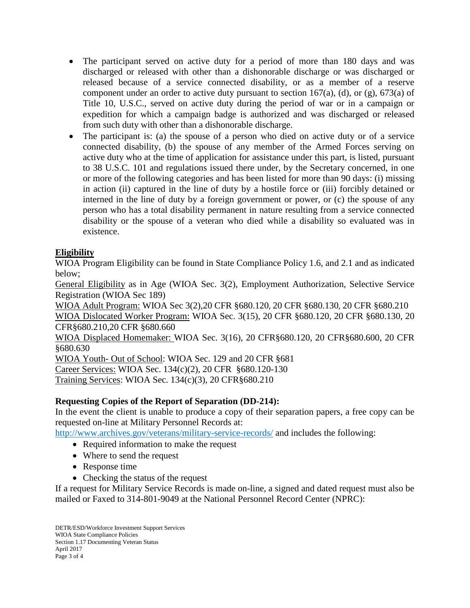- The participant served on active duty for a period of more than 180 days and was discharged or released with other than a dishonorable discharge or was discharged or released because of a service connected disability, or as a member of a reserve component under an order to active duty pursuant to section 167(a), (d), or  $(g)$ , 673(a) of Title 10, U.S.C., served on active duty during the period of war or in a campaign or expedition for which a campaign badge is authorized and was discharged or released from such duty with other than a dishonorable discharge.
- The participant is: (a) the spouse of a person who died on active duty or of a service connected disability, (b) the spouse of any member of the Armed Forces serving on active duty who at the time of application for assistance under this part, is listed, pursuant to 38 U.S.C. 101 and regulations issued there under, by the Secretary concerned, in one or more of the following categories and has been listed for more than 90 days: (i) missing in action (ii) captured in the line of duty by a hostile force or (iii) forcibly detained or interned in the line of duty by a foreign government or power, or (c) the spouse of any person who has a total disability permanent in nature resulting from a service connected disability or the spouse of a veteran who died while a disability so evaluated was in existence.

# **Eligibility**

WIOA Program Eligibility can be found in State Compliance Policy 1.6, and 2.1 and as indicated below;

General Eligibility as in Age (WIOA Sec. 3(2), Employment Authorization, Selective Service Registration (WIOA Sec 189)

WIOA Adult Program: WIOA Sec 3(2),20 CFR §680.120, 20 CFR §680.130, 20 CFR §680.210 WIOA Dislocated Worker Program: WIOA Sec. 3(15), 20 CFR §680.120, 20 CFR §680.130, 20 CFR§680.210,20 CFR §680.660

WIOA Displaced Homemaker: WIOA Sec. 3(16), 20 CFR§680.120, 20 CFR§680.600, 20 CFR §680.630

WIOA Youth- Out of School: WIOA Sec. 129 and 20 CFR §681 Career Services: WIOA Sec. 134(c)(2), 20 CFR §680.120-130 Training Services: WIOA Sec. 134(c)(3), 20 CFR§680.210

### **Requesting Copies of the Report of Separation (DD-214):**

In the event the client is unable to produce a copy of their separation papers, a free copy can be requested on-line at Military Personnel Records at:

<http://www.archives.gov/veterans/military-service-records/> and includes the following:

- Required information to make the request
- Where to send the request
- Response time
- Checking the status of the request

If a request for Military Service Records is made on-line, a signed and dated request must also be mailed or Faxed to 314-801-9049 at the National Personnel Record Center (NPRC):

DETR/ESD/Workforce Investment Support Services WIOA State Compliance Policies Section 1.17 Documenting Veteran Status April 2017 Page 3 of 4